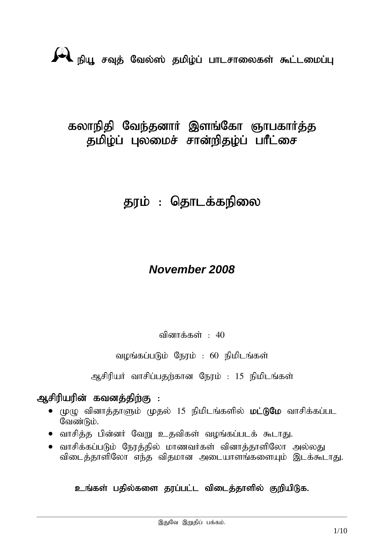## கலாநிதி வேந்தனார் இளங்கோ ஞாபகார்த்த தமிழ்ப் புலமைச் சான்றிதழ்ப் பாீட்சை

# தரம் : தொடக்கநிலை

## *November 2008*

வினாக்கள் :  $40$ 

வழங்கப்படும் நேரம் : 60 நிமிடங்கள்

ஆசிரியர் வாசிப்பதற்கான நேரம் : 15 நிமிடங்கள்

## ஆசிரியரின் கவனக்கிற்கு :

- $\bullet$  (முழு வினாத்தாளும் முதல் 15 நிமிடங்களில் மட்டுமே வாசிக்கப்பட வேண்டும்.
- ் வாசித்த பின்னர் வேறு உதவிகள் வழங்கப்படக் கூடாது.
- ் வாசிக்கப்படும் நேரத்தில் மாணவர்கள் வினாத்தாளிலோ அல்லது விடைத்தாளிலோ எந்த விதமான அடையாளங்களையும் இடக்கூடாது.

### உங்கள் பதில்களை தரப்பட்ட விடைத்தாளில் குறியிடுக.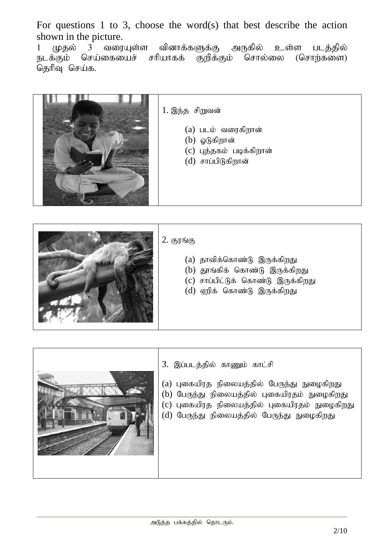For questions 1 to 3, choose the word(s) that best describe the action shown in the picture.<br>1  $(\mu$ தல் 3 வரையுள்ள

1 முதல் 3 வரையுள்ள வினாக்களுக்கு அருகில் உள்ள படத்தில் நடக்கும் செய்கையைச் சரியாகக் குறிக்கும் சொல்லை (சொற்களை) தெரிவு செய்க.



1. இந்த சிறுவன்

- $(a)$  படம் வரைகிறான்
- $(b)$  ஓடுகிறான்
- $(c)$  புத்தகம் படிக்கிறான்
- $(d)$  சாப்பிடுகிறான்



#### $2.$  குரங்கு

- $(a)$  தாவிக்கொண்டு இருக்கிறது
- $(b)$  தூங்கிக் கொண்டு இருக்கிறது
- (c) சாப்பிட்டுக் கொண்டு இருக்கிறது
- $(d)$  ஏறிக் கொண்டு இருக்கிறது



- 3. இப்படத்தில் காணும் காட்சி
- (a) புகையிரத நிலையத்தில் பேருந்து நுழைகிறது (b) பேருந்து நிலையத்தில் புகையிரதம் நுழைகிறது
- (c) புகையிரத நிலையத்தில் புகையிரதம் நுழைகிறது
- $(d)$  பேருந்து நிலையத்தில் பேருந்து நுழைகிறது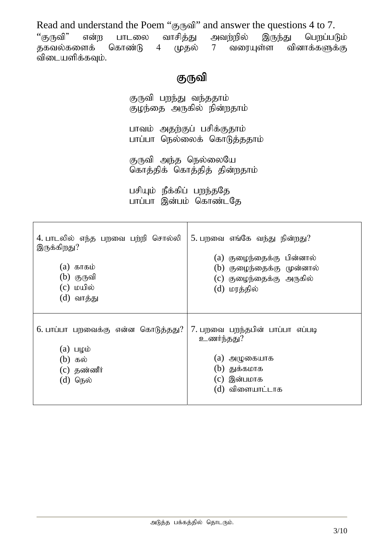Read and understand the Poem "குருவி" and answer the questions 4 to 7.<br>"குருவி" என்ற பாடலை வாசித்து அவற்றில் இருந்து பெறப்ப ''குருவி" என்ற பாடலை வாசித்து அவற்றில் இருந்து பெறப்படும்<br>தகவல்களைக் கொண்டு 4 முதல் 7 வரையுள்ள வினாக்களுக்கு  $7$  வரையள்ள வினாக்களுக்கு விடையளிக்கவும்.

## குருவி

குருவி பறந்து வந்ததாம் குழந்தை அருகில் நின்றதாம்

பாவம் அதற்குப் பசிக்குதாம் பாப்பா நெல்லைக் கொடுத்ததாம்

குருவி அந்த நெல்லையே கொத்திக் கொத்தித் தின்றதாம்

பசியும் நீக்கிப் பறந்ததே பாப்பா இன்பம் கொண்டதே

| 4. பாடலில் எந்த பறவை பற்றி சொல்லி<br>இருக்கிறது?<br>$(a)$ காகம்<br>$(b)$ குருவி<br>$(c)$ மயில்<br>(d) வாத்து | 5. பறவை எங்கே வந்து நின்றது?<br>(a) குழைந்தைக்கு பின்னால்<br>(b) குழைந்தைக்கு முன்னால்<br>(c) குழைந்தைக்கு அருகில்<br>(d) மரத்தில் |
|--------------------------------------------------------------------------------------------------------------|------------------------------------------------------------------------------------------------------------------------------------|
| 6. பாப்பா பறவைக்கு என்ன கொடுத்தது?<br>$(a)$ பழம்<br>(b) கல்<br>$(c)$ தண்ணீர்<br>$(d)$ நெல்                   | 7. பறவை பறந்தபின் பாப்பா எப்படி<br>உணர்ந்தது?<br>(a) அழுகையாக<br>(b) துக்கமாக<br>(c) இன்பமாக<br>(d) விளையாட்டாக                    |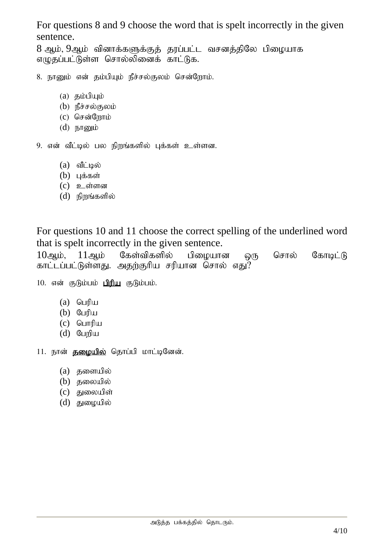For questions 8 and 9 choose the word that is spelt incorrectly in the given sentence.

8 ஆம், 9ஆம் வினாக்களுக்குத் தரப்பட்ட வசனத்திலே பிழையாக எழுதப்பட்டுள்ள சொல்லினைக் காட்டுக.

- 8. நானும் என் தம்பியும் நீச்சல்குலம் சென்றோம்.
	- $(a)$   $\delta$ <sub>5</sub> $\delta$
	- $(b)$  நீச்சல்குலம்
	- $(c)$  சென்றோம்
	- $(d)$  நானும்

9. என் வீட்டில் பல நிறங்களில் புக்கள் உள்ளன.

- $(a)$  வீட்டில்
- $(b)$  цக்கள்
- $(c)$   $\Omega$  original
- $(d)$  நிறங்களில்

For questions 10 and 11 choose the correct spelling of the underlined word that is spelt incorrectly in the given sentence.

 $10$ ஆம்,  $11$ ஆம் கேள்விகளில் பிழையான ஒரு சொல் கோடிட்டு காட்டப்பட்டுள்ளது. அதற்குரிய சரியான சொல் எது?

10. என் குடும்பம் பிரிய குடும்பம்.

- $(a)$  பெரிய
- $(b)$  Gumu
- $(c)$  பொரிய
- $(d)$  பேறிய

11. நான் தமையில் தொப்பி மாட்டினேன்.

- $(a)$  தளையில்
- $(b)$  குலையில்
- $(c)$  குறையிள்
- $(d)$  துழையில்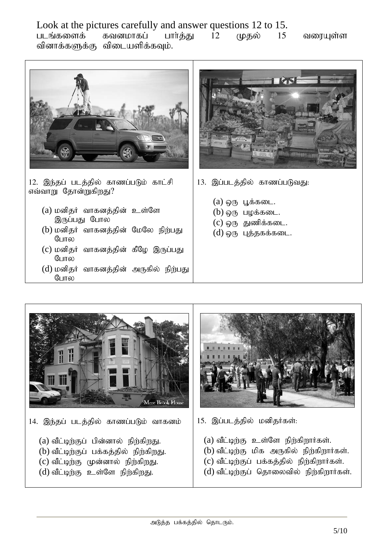Look at the pictures carefully and answer questions 12 to 15. படங்களைக் கவனமாகப் பார்த்து 12 முதல் 15 வரையுள்ள வினாக்களுக்கு விடையளிக்கவும்.



12. இந்தப் படத்தில் காணப்படும் காட்சி எவ்வாறு தோன்றுகிறது?

- $(a)$  மனிதர் வாகனத்தின் உள்ளே இருப்பது போல
- (b) மனிதர் வாகனத்தின் மேலே நிற்பது போல
- (c) மனிதர் வாகனத்தின் கீழே இருப்பது போல
- (d) மனிதர் வாகனத்தின் அருகில் நிற்பது போல



13. இப்படத்தில் காணப்படுவது:

- $(a)$  ஒரு பூக்கடை.
- $(b)$  ஒரு பழக்கடை.
- $(c)$  ஒரு துணிக்கடை.
- $(d)$  @ரு புத்தகக்கடை.



14. இந்தப் படத்தில் காணப்படும் வாகனம்

- $(a)$  வீட்டிற்குப் பின்னால் நிற்கிறது.
- $(b)$  வீட்டிற்குப் பக்கத்தில் நிற்கிறது.
- $(c)$  வீட்டிற்கு முன்னால் நிற்கிறது.
- $(d)$  வீட்டிற்கு உள்ளே நிற்கிறது.



- 15. இப்படத்தில் மனிதர்கள்:
	- $(a)$  வீட்டிற்கு உள்ளே நிற்கிறார்கள்.
	- $(b)$  வீட்டிற்கு மிக அருகில் நிற்கிறார்கள்.
	- $(c)$  வீட்டிற்குப் பக்கத்தில் நிற்கிறார்கள்.
	- $(d)$  வீட்டிற்குப் தொலைவில் நிற்கிறார்கள்.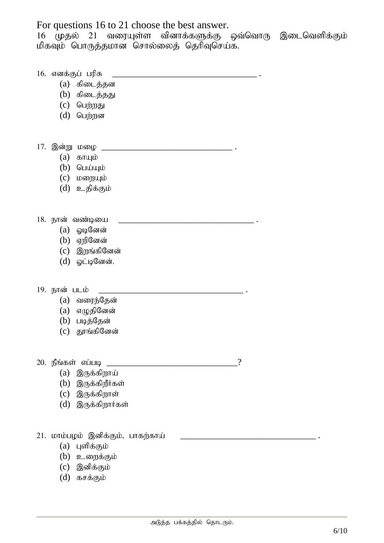For questions 16 to 21 choose the best answer.

 $16$  (முதல் 21 வரையுள்ள வினாக்களுக்கு ஒவ்வொரு இடைவெளிக்கும் மிகவும் பொருத்தமான சொல்லைத் தெரிவுசெய்க.

16. vdf ;Fg; gupR \_\_\_\_\_\_\_\_\_\_\_\_\_\_\_\_\_\_\_\_\_\_\_\_\_\_\_\_\_\_\_\_ .

- $(a)$  கிடைத்தன
- $(b)$  கிடைத்தது
- $(c)$  பெற்றது
- $(d)$  பெற்றன
- 17. ,d;W kio \_\_\_\_\_\_\_\_\_\_\_\_\_\_\_\_\_\_\_\_\_\_\_\_\_\_\_\_\_ .
	- $(a)$  காயும்
	- $(b)$  பெய்யும்
	- $(c)$   $log$ றுயும்
	- (d) உதிக்கும்

18. ehd; tz;bia \_\_\_\_\_\_\_\_\_\_\_\_\_\_\_\_\_\_\_\_\_\_\_\_\_\_\_\_\_\_ .

- $(a)$  *Q*l $Q$ னேன்
- $(b)$  ஏறினேன்
- $(c)$  இறங்கினேன்
- $(d)$  ஓட்டினேன்.
- 19. நான் படம்
	- $(a)$  வரைந்தேன்
	- $(a)$  எழுதினேன்
	- $(b)$  படித்தேன்
	- $(c)$  தூங்கினேன்
- $20.$  நீங்கள் எப்படி \_\_\_\_\_\_\_\_\_\_\_\_\_\_\_\_\_\_\_\_\_\_\_\_\_\_\_\_\_\_\_\_\_\_\_?

- $(a)$  இருக்கிறாய்
- $(b)$  இருக்கிறீர்கள்
- $(c)$  இருக்கிறாள்
- $(d)$  இருக்கிறார்கள்
- 21. மாம்பழம் இனிக்கும், பாகற்காய்
	- $(a)$  புளிக்கும்
	- $(b)$  உறைக்கும்
	- $(c)$  இனிக்கும்
	- (d) கசக்கும்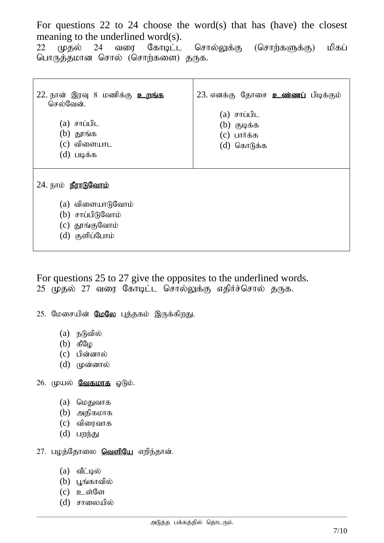For questions 22 to 24 choose the word(s) that has (have) the closest meaning to the underlined word(s).

22 (மதல் 24 வரை கோடிட்ட சொல்லுக்கு (சொற்களுக்கு) மிகப் பொருத்தமான சொல் (சொற்களை) தருக.

| 22. நான் இரவு 8 மணிக்கு <u>உ<b>றங்க</b></u><br>செல்வேன்.<br>(a) சாப்பிட<br>$(b)$ தூங்க<br>$(c)$ விளையாட<br>$(d)$ படிக்க | 23. எனக்கு தோசை உண்ணப் பிடிக்கும்<br>(a) சாப்பிட<br>$(b)$ குடிக்க<br>$(c)$ பார்க்க<br>(d) கொடுக்க |
|-------------------------------------------------------------------------------------------------------------------------|---------------------------------------------------------------------------------------------------|
| 24. நாம் <b>நீராடுவோம்</b><br>(a) விளையாடுவோம்<br>(b) சாப்பிடுவோம்<br>(c) தூங்குவோம்<br>(d) குளிப்போம்                  |                                                                                                   |

For questions 25 to 27 give the opposites to the underlined words.  $25$  (முதல்  $27$  வரை கோடிட்ட சொல்லுக்கு எதிர்ச்சொல் தருக.

25. மேசையின் மேலே புத்தகம் இருக்கிறது.

- $(a)$  நடுவில்
- $(b)$   $f_{\theta}^{\theta}(\theta)$
- $(c)$  பின்னால்
- $(d)$  (фолотной)

#### $26.$  முயல் வேகமாக ஓடும்.

- $(a)$  மெதுவாக
- $(b)$  அதிகமாக
- $(c)$  விரைவாக
- $(d)$   $L$   $m$ ந்து
- 27. பழத்தோலை **வெளியே** எறிந்தான்.
	- $(a)$  வீட்டில்
	- $(b)$  பூங்காவில்
	- $(c)$  **p**\_ $\sin$   $\theta$  on
	- $(d)$  சாலையில்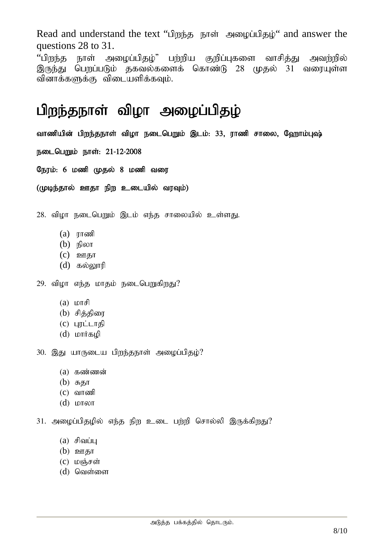Read and understand the text "பிறந்த நாள் அழைப்பிதழ்" and answer the questions 28 to 31.

''பிறந்த நாள் அழைப்பிதழ்" பற்றிய குறிப்புகளை வாசித்து அவற்றில் இருந்து பெறப்படும் தகவல்களைக் கொண்டு 28 முதல் 31 வரையுள்ள வினாக்களுக்கு விடையளிக்கவும்.

# பிறந்தநாள் விழா அழைப்பிதழ்

வாணியின் பிறந்தநாள் விழா நடைபெறும் இடம்: 33, ராணி சாலை, ஹோம்புஷ்

நடைபெறும் நாள்: 21-12-2008

நேரம்: 6 மணி முதல் 8 மணி வரை

(முடிந்தால் ஊதா நிற உடையில் வரவும்)

 $28.$  விழா நடைபெறும் இடம் எந்த சாலையில் உள்ளது.

- $(a)$   $\pi$  $\sigma$
- $(b)$  நிலா
- $(c)$  **p**arg<sub> $\overline{b}$ </sub>
- $(d)$  கல்லாரி
- 29. விழா எந்த மாதம் நடைபெறுகிறது?
	- $(a)$   $L$
	- $(b)$  சித்திரை
	- $(c)$  цரட்டாதி
	- $(d)$  *LOTT* if  $\mathfrak{g}_{\mathfrak{p}}(d)$

30. இது யாருடைய பிறந்தநாள் அழைப்பிதழ்?

- $(a)$   $\sigma$ zo $\sigma$ jangaran
- $(b)$  சுதா
- $(c)$  வாணி
- (d) khyh

 $31.$  அழைப்பிதழில் எந்த நிற உடை பற்றி சொல்லி இருக்கிறது?

- $(a)$  சிவப்பு
- $(b)$  ஊதா
- $(C)$  மஞ்சள்
- $(d)$  வெள்ளை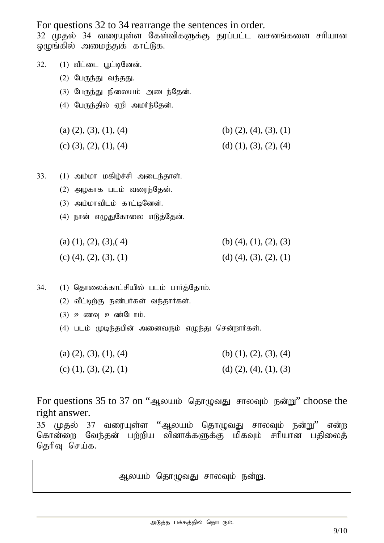For questions 32 to 34 rearrange the sentences in order.

32 (மதல் 34 வரையுள்ள கேள்விகளுக்கு தரப்பட்ட வசனங்களை சரியான லுமங்கில் அமைக்குக் காட்டுக.

- 32. (1) வீட்டை பூட்டினேன்.
	- $(2)$  பேருந்து வந்தது.
	- $(3)$  பேருந்து நிலையம் அடைந்தேன்.
	- $(4)$  பேருந்தில் ஏறி அமர்ந்தேன்.
	- (a)  $(2)$ ,  $(3)$ ,  $(1)$ ,  $(4)$  (b)  $(2)$ ,  $(4)$ ,  $(3)$ ,  $(1)$
	- (c) (3), (2), (1), (4) (d) (1), (3), (2), (4)
- $33.$   $(1)$  அம்மா மகிழ்ச்சி அடைந்தாள்.
	- $(2)$  அழகாக படம் வரைந்தேன்.
	- $(3)$  அம்மாவிடம் காட்டினேன்.
	- (4) நான் எழுதுகோலை எடுத்தேன்.
	- (a)  $(1)$ ,  $(2)$ ,  $(3)$ ,  $(4)$  (b)  $(4)$ ,  $(1)$ ,  $(2)$ ,  $(3)$ (c) (4), (2), (3), (1) (d) (4), (3), (2), (1)
- $34.$   $(1)$  தொலைக்காட்சியில் படம் பார்த்தோம்.
	- $(2)$  வீட்டிற்கு நண்பர்கள் வந்தார்கள்.
	- $(3)$  **p** come p coing  $|I|$ .
	- (4) படம் முடிந்தபின் அனைவரும் எழுந்து சென்றார்கள்.
	- (a)  $(2), (3), (1), (4)$  (b)  $(1), (2), (3), (4)$
	- (c) (1), (3), (2), (1) (d) (2), (4), (1), (3)

For questions 35 to 37 on "அலயம் தொழுவது சாலவும் நன்று" choose the right answer.

35 முதல் 37 வரையுள்ள ''ஆலயம் தொழுவது சாலவும் நன்று'' என்ற கொன்றை வேந்தன் பற்றிய வினாக்களுக்கு மிகவும் சரியான பதிலைத் தெரிவு செய்க.

ஆலயம் தொழுவது சாலவும் நன்று.